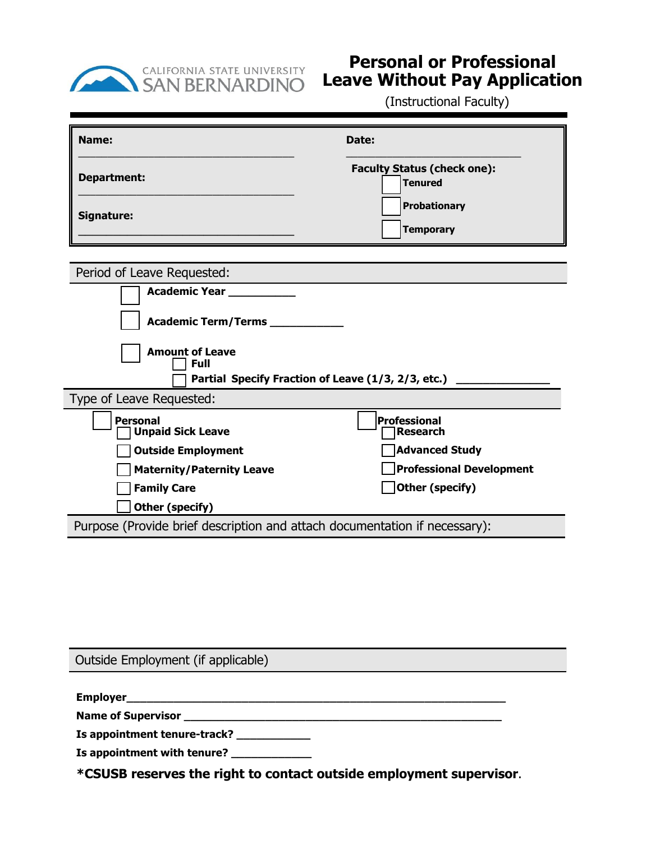

## **Personal or Professional Leave Without Pay Application**

(Instructional Faculty)

| Name:                                                                      | Date:                                                |
|----------------------------------------------------------------------------|------------------------------------------------------|
| <b>Department:</b>                                                         | <b>Faculty Status (check one):</b><br><b>Tenured</b> |
| Signature:                                                                 | <b>Probationary</b><br><b>Temporary</b>              |
| Period of Leave Requested:                                                 |                                                      |
| Academic Year __________                                                   |                                                      |
| Academic Term/Terms ________                                               |                                                      |
| <b>Amount of Leave</b><br><b>Full</b>                                      |                                                      |
| Partial Specify Fraction of Leave (1/3, 2/3, etc.)                         |                                                      |
| Type of Leave Requested:                                                   |                                                      |
| <b>Personal</b><br><b>Unpaid Sick Leave</b>                                | <b>Professional</b><br><b>Research</b>               |
| <b>Outside Employment</b>                                                  | <b>Advanced Study</b>                                |
| <b>Maternity/Paternity Leave</b>                                           | <b>Professional Development</b>                      |
| <b>Family Care</b>                                                         | Other (specify)                                      |
| Other (specify)                                                            |                                                      |
| Purpose (Provide brief description and attach documentation if necessary): |                                                      |

| Outside Employment (if applicable)                                                                                                                                                                                                   |  |
|--------------------------------------------------------------------------------------------------------------------------------------------------------------------------------------------------------------------------------------|--|
|                                                                                                                                                                                                                                      |  |
|                                                                                                                                                                                                                                      |  |
| <b>Name of Supervisor and Supervisor and Supervisor and Supervisor and Supervisor and Supervisor and Supervisor and Supervisor and Supervisor and Supervisor and Supervisor and Supervisor and Supervisor and Supervisor and Sup</b> |  |
| Is appointment tenure-track?                                                                                                                                                                                                         |  |
| Is appointment with tenure? ____________                                                                                                                                                                                             |  |
| *CSUSB reserves the right to contact outside employment supervisor.                                                                                                                                                                  |  |